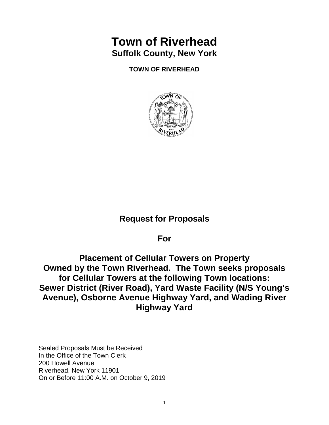# **Town of Riverhead Suffolk County, New York**

**TOWN OF RIVERHEAD**



# **Request for Proposals**

**For** 

**Placement of Cellular Towers on Property Owned by the Town Riverhead. The Town seeks proposals for Cellular Towers at the following Town locations: Sewer District (River Road), Yard Waste Facility (N/S Young's Avenue), Osborne Avenue Highway Yard, and Wading River Highway Yard** 

Sealed Proposals Must be Received In the Office of the Town Clerk 200 Howell Avenue Riverhead, New York 11901 On or Before 11:00 A.M. on October 9, 2019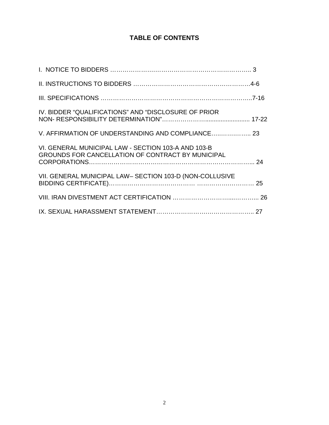# **TABLE OF CONTENTS**

| IV. BIDDER "QUALIFICATIONS" AND "DISCLOSURE OF PRIOR                                                     |  |
|----------------------------------------------------------------------------------------------------------|--|
| V. AFFIRMATION OF UNDERSTANDING AND COMPLIANCE 23                                                        |  |
| VI. GENERAL MUNICIPAL LAW - SECTION 103-A AND 103-B<br>GROUNDS FOR CANCELLATION OF CONTRACT BY MUNICIPAL |  |
| VII. GENERAL MUNICIPAL LAW- SECTION 103-D (NON-COLLUSIVE                                                 |  |
|                                                                                                          |  |
|                                                                                                          |  |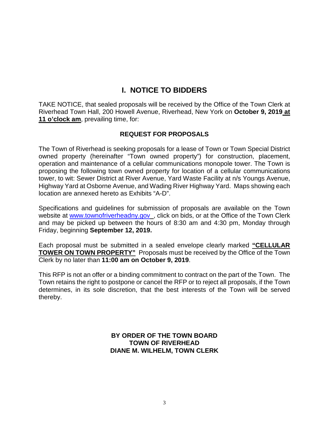# **I. NOTICE TO BIDDERS**

TAKE NOTICE, that sealed proposals will be received by the Office of the Town Clerk at Riverhead Town Hall, 200 Howell Avenue, Riverhead, New York on **October 9, 2019 at 11 o'clock am**, prevailing time, for:

# **REQUEST FOR PROPOSALS**

The Town of Riverhead is seeking proposals for a lease of Town or Town Special District owned property (hereinafter "Town owned property") for construction, placement, operation and maintenance of a cellular communications monopole tower. The Town is proposing the following town owned property for location of a cellular communications tower, to wit: Sewer District at River Avenue, Yard Waste Facility at n/s Youngs Avenue, Highway Yard at Osborne Avenue, and Wading River Highway Yard. Maps showing each location are annexed hereto as Exhibits "A-D".

Specifications and guidelines for submission of proposals are available on the Town website at [www.townofriverheadny.gov](http://www.townofriverheadny.gov/) , click on bids, or at the Office of the Town Clerk and may be picked up between the hours of 8:30 am and 4:30 pm, Monday through Friday, beginning **September 12, 2019.**

Each proposal must be submitted in a sealed envelope clearly marked **"CELLULAR TOWER ON TOWN PROPERTY"** Proposals must be received by the Office of the Town Clerk by no later than **11:00 am on October 9, 2019**.

This RFP is not an offer or a binding commitment to contract on the part of the Town. The Town retains the right to postpone or cancel the RFP or to reject all proposals, if the Town determines, in its sole discretion, that the best interests of the Town will be served thereby.

> **BY ORDER OF THE TOWN BOARD TOWN OF RIVERHEAD DIANE M. WILHELM, TOWN CLERK**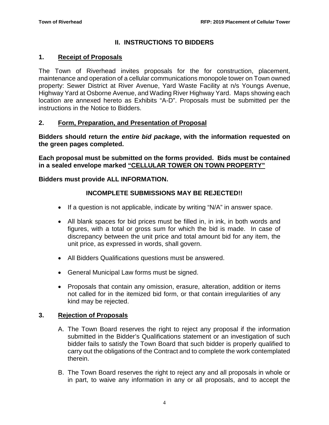# **II. INSTRUCTIONS TO BIDDERS**

# **1. Receipt of Proposals**

The Town of Riverhead invites proposals for the for construction, placement, maintenance and operation of a cellular communications monopole tower on Town owned property: Sewer District at River Avenue, Yard Waste Facility at n/s Youngs Avenue, Highway Yard at Osborne Avenue, and Wading River Highway Yard. Maps showing each location are annexed hereto as Exhibits "A-D". Proposals must be submitted per the instructions in the Notice to Bidders.

# **2. Form, Preparation, and Presentation of Proposal**

**Bidders should return the** *entire bid package***, with the information requested on the green pages completed.**

**Each proposal must be submitted on the forms provided. Bids must be contained in a sealed envelope marked "CELLULAR TOWER ON TOWN PROPERTY"**

# **Bidders must provide ALL INFORMATION.**

# **INCOMPLETE SUBMISSIONS MAY BE REJECTED!!**

- If a question is not applicable, indicate by writing "N/A" in answer space.
- All blank spaces for bid prices must be filled in, in ink, in both words and figures, with a total or gross sum for which the bid is made. In case of discrepancy between the unit price and total amount bid for any item, the unit price, as expressed in words, shall govern.
- All Bidders Qualifications questions must be answered.
- General Municipal Law forms must be signed.
- Proposals that contain any omission, erasure, alteration, addition or items not called for in the itemized bid form, or that contain irregularities of any kind may be rejected.

# **3. Rejection of Proposals**

- A. The Town Board reserves the right to reject any proposal if the information submitted in the Bidder's Qualifications statement or an investigation of such bidder fails to satisfy the Town Board that such bidder is properly qualified to carry out the obligations of the Contract and to complete the work contemplated therein.
- B. The Town Board reserves the right to reject any and all proposals in whole or in part, to waive any information in any or all proposals, and to accept the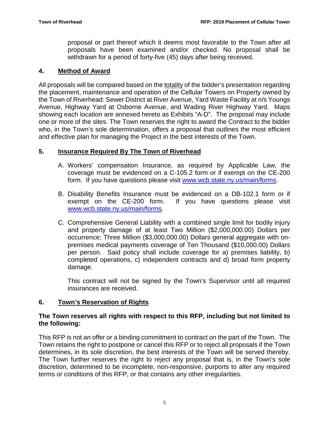proposal or part thereof which it deems most favorable to the Town after all proposals have been examined and/or checked. No proposal shall be withdrawn for a period of forty-five (45) days after being received.

# **4. Method of Award**

All proposals will be compared based on the totality of the bidder's presentation regarding the placement, maintenance and operation of the Cellular Towers on Property owned by the Town of Riverhead: Sewer District at River Avenue, Yard Waste Facility at n/s Youngs Avenue, Highway Yard at Osborne Avenue, and Wading River Highway Yard. Maps showing each location are annexed hereto as Exhibits "A-D". The proposal may include one or more of the sites. The Town reserves the right to award the Contract to the bidder who, in the Town's sole determination, offers a proposal that outlines the most efficient and effective plan for managing the Project in the best interests of the Town.

# **5. Insurance Required By The Town of Riverhead**

- A. Workers' compensation Insurance, as required by Applicable Law, the coverage must be evidenced on a C-105.2 form or if exempt on the CE-200 form. If you have questions please visit [www.wcb.state.ny.us/main/forms.](http://www.wcb.state.ny.us/main/forms)
- B. Disability Benefits Insurance must be evidenced on a DB-102.1 form or if exempt on the CE-200 form. If you have questions please visit [www.wcb.state.ny.us/main/forms.](http://www.wcb.state.ny.us/main/forms)
- C. Comprehensive General Liability with a combined single limit for bodily injury and property damage of at least Two Million (\$2,000,000.00) Dollars per occurrence; Three Million (\$3,000,000.00) Dollars general aggregate with onpremises medical payments coverage of Ten Thousand (\$10,000.00) Dollars per person. Said policy shall include coverage for a) premises liability, b) completed operations, c) independent contracts and d) broad form property damage.

This contract will not be signed by the Town's Supervisor until all required insurances are received.

# **6. Town's Reservation of Rights**

### **The Town reserves all rights with respect to this RFP, including but not limited to the following:**

This RFP is not an offer or a binding commitment to contract on the part of the Town. The Town retains the right to postpone or cancel this RFP or to reject all proposals if the Town determines, in its sole discretion, the best interests of the Town will be served thereby. The Town further reserves the right to reject any proposal that is, in the Town's sole discretion, determined to be incomplete, non-responsive, purports to alter any required terms or conditions of this RFP, or that contains any other irregularities.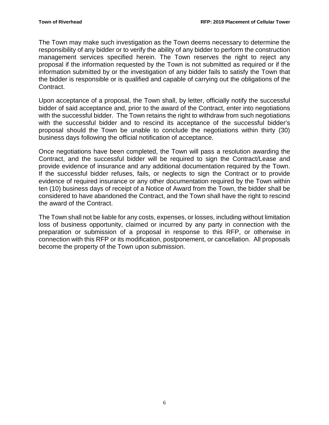The Town may make such investigation as the Town deems necessary to determine the responsibility of any bidder or to verify the ability of any bidder to perform the construction management services specified herein. The Town reserves the right to reject any proposal if the information requested by the Town is not submitted as required or if the information submitted by or the investigation of any bidder fails to satisfy the Town that the bidder is responsible or is qualified and capable of carrying out the obligations of the Contract.

Upon acceptance of a proposal, the Town shall, by letter, officially notify the successful bidder of said acceptance and, prior to the award of the Contract, enter into negotiations with the successful bidder. The Town retains the right to withdraw from such negotiations with the successful bidder and to rescind its acceptance of the successful bidder's proposal should the Town be unable to conclude the negotiations within thirty (30) business days following the official notification of acceptance.

Once negotiations have been completed, the Town will pass a resolution awarding the Contract, and the successful bidder will be required to sign the Contract/Lease and provide evidence of insurance and any additional documentation required by the Town. If the successful bidder refuses, fails, or neglects to sign the Contract or to provide evidence of required insurance or any other documentation required by the Town within ten (10) business days of receipt of a Notice of Award from the Town, the bidder shall be considered to have abandoned the Contract, and the Town shall have the right to rescind the award of the Contract.

The Town shall not be liable for any costs, expenses, or losses, including without limitation loss of business opportunity, claimed or incurred by any party in connection with the preparation or submission of a proposal in response to this RFP, or otherwise in connection with this RFP or its modification, postponement, or cancellation. All proposals become the property of the Town upon submission.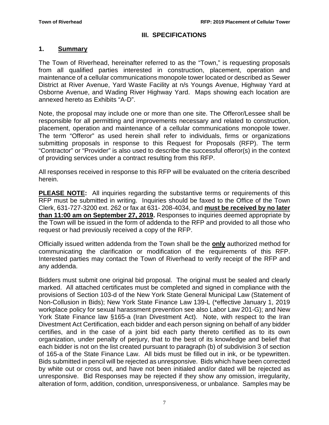## **III. SPECIFICATIONS**

#### **1. Summary**

The Town of Riverhead, hereinafter referred to as the "Town," is requesting proposals from all qualified parties interested in construction, placement, operation and maintenance of a cellular communications monopole tower located or described as Sewer District at River Avenue, Yard Waste Facility at n/s Youngs Avenue, Highway Yard at Osborne Avenue, and Wading River Highway Yard. Maps showing each location are annexed hereto as Exhibits "A-D".

Note, the proposal may include one or more than one site. The Offeror/Lessee shall be responsible for all permitting and improvements necessary and related to construction, placement, operation and maintenance of a cellular communications monopole tower. The term "Offeror" as used herein shall refer to individuals, firms or organizations submitting proposals in response to this Request for Proposals (RFP). The term "Contractor" or "Provider" is also used to describe the successful offeror(s) in the context of providing services under a contract resulting from this RFP.

All responses received in response to this RFP will be evaluated on the criteria described herein.

**PLEASE NOTE:** All inquiries regarding the substantive terms or requirements of this RFP must be submitted in writing. Inquiries should be faxed to the Office of the Town Clerk, 631-727-3200 ext. 262 or fax at 631- 208-4034, and **must be received by no later than 11:00 am on September 27, 2019.** Responses to inquiries deemed appropriate by the Town will be issued in the form of addenda to the RFP and provided to all those who request or had previously received a copy of the RFP.

Officially issued written addenda from the Town shall be the **only** authorized method for communicating the clarification or modification of the requirements of this RFP. Interested parties may contact the Town of Riverhead to verify receipt of the RFP and any addenda.

Bidders must submit one original bid proposal. The original must be sealed and clearly marked. All attached certificates must be completed and signed in compliance with the provisions of Section 103-d of the New York State General Municipal Law (Statement of Non-Collusion in Bids); New York State Finance Law 139-L (\*effective January 1, 2019 workplace policy for sexual harassment prevention see also Labor Law 201-G); and New York State Finance law §165-a (Iran Divestment Act). Note, with respect to the Iran Divestment Act Certification, each bidder and each person signing on behalf of any bidder certifies, and in the case of a joint bid each party thereto certified as to its own organization, under penalty of perjury, that to the best of its knowledge and belief that each bidder is not on the list created pursuant to paragraph (b) of subdivision 3 of section of 165-a of the State Finance Law. All bids must be filled out in ink, or be typewritten. Bids submitted in pencil will be rejected as unresponsive. Bids which have been corrected by white out or cross out, and have not been initialed and/or dated will be rejected as unresponsive. Bid Responses may be rejected if they show any omission, irregularity, alteration of form, addition, condition, unresponsiveness, or unbalance. Samples may be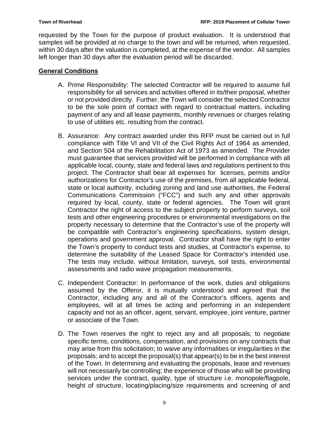requested by the Town for the purpose of product evaluation. It is understood that samples will be provided at no charge to the town and will be returned, when requested, within 30 days after the valuation is completed, at the expense of the vendor. All samples left longer than 30 days after the evaluation period will be discarded.

## **General Conditions**

- A. Prime Responsibility: The selected Contractor will be required to assume full responsibility for all services and activities offered in its/their proposal, whether or not provided directly. Further, the Town will consider the selected Contractor to be the sole point of contact with regard to contractual matters, including payment of any and all lease payments, monthly revenues or charges relating to use of utilities etc. resulting from the contract.
- B. Assurance: Any contract awarded under this RFP must be carried out in full compliance with Title VI and VII of the Civil Rights Act of 1964 as amended, and Section 504 of the Rehabilitation Act of 1973 as amended. The Provider must guarantee that services provided will be performed in compliance with all applicable local, county, state and federal laws and regulations pertinent to this project. The Contractor shall bear all expenses for licenses, permits and/or authorizations for Contractor's use of the premises, from all applicable federal, state or local authority, including zoning and land use authorities, the Federal Communications Commission ("FCC") and such any and other approvals required by local, county, state or federal agencies. The Town will grant Contractor the right of access to the subject property to perform surveys, soil tests and other engineering procedures or environmental investigations on the property necessary to determine that the Contractor's use of the property will be compatible with Contractor's engineering specifications, system design, operations and government approval. Contractor shall have the right to enter the Town's property to conduct tests and studies, at Contractor's expense, to determine the suitability of the Leased Space for Contractor's intended use. The tests may include, without limitation, surveys, soil tests, environmental assessments and radio wave propagation measurements.
- C. Independent Contractor: In performance of the work, duties and obligations assumed by the Offeror, it is mutually understood and agreed that the Contractor, including any and all of the Contractor's officers, agents and employees, will at all times be acting and performing in an independent capacity and not as an officer, agent, servant, employee, joint venture, partner or associate of the Town.
- D. The Town reserves the right to reject any and all proposals; to negotiate specific terms, conditions, compensation, and provisions on any contracts that may arise from this solicitation; to waive any informalities or irregularities in the proposals; and to accept the proposal(s) that appear(s) to be in the best interest of the Town. In determining and evaluating the proposals, lease and revenues will not necessarily be controlling; the experience of those who will be providing services under the contract, quality, type of structure i.e. monopole/flagpole, height of structure, locating/placing/size requirements and screening of and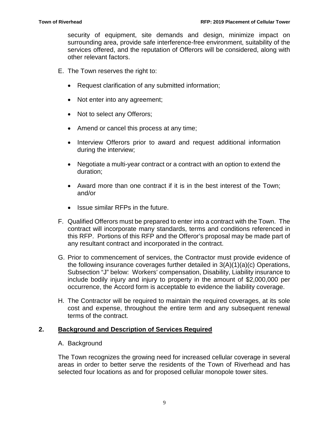security of equipment, site demands and design, minimize impact on surrounding area, provide safe interference-free environment, suitability of the services offered, and the reputation of Offerors will be considered, along with other relevant factors.

- E. The Town reserves the right to:
	- Request clarification of any submitted information;
	- Not enter into any agreement;
	- Not to select any Offerors;
	- Amend or cancel this process at any time;
	- Interview Offerors prior to award and request additional information during the interview;
	- Negotiate a multi-year contract or a contract with an option to extend the duration;
	- Award more than one contract if it is in the best interest of the Town; and/or
	- Issue similar RFPs in the future.
- F. Qualified Offerors must be prepared to enter into a contract with the Town. The contract will incorporate many standards, terms and conditions referenced in this RFP. Portions of this RFP and the Offeror's proposal may be made part of any resultant contract and incorporated in the contract.
- G. Prior to commencement of services, the Contractor must provide evidence of the following insurance coverages further detailed in 3(A)(1)(a)(c) Operations, Subsection "J" below: Workers' compensation, Disability, Liability insurance to include bodily injury and injury to property in the amount of \$2,000,000 per occurrence, the Accord form is acceptable to evidence the liability coverage.
- H. The Contractor will be required to maintain the required coverages, at its sole cost and expense, throughout the entire term and any subsequent renewal terms of the contract.

#### **2. Background and Description of Services Required**

#### A. Background

The Town recognizes the growing need for increased cellular coverage in several areas in order to better serve the residents of the Town of Riverhead and has selected four locations as and for proposed cellular monopole tower sites.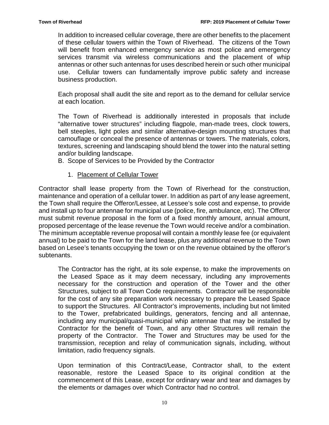In addition to increased cellular coverage, there are other benefits to the placement of these cellular towers within the Town of Riverhead. The citizens of the Town will benefit from enhanced emergency service as most police and emergency services transmit via wireless communications and the placement of whip antennas or other such antennas for uses described herein or such other municipal use. Cellular towers can fundamentally improve public safety and increase business production.

Each proposal shall audit the site and report as to the demand for cellular service at each location.

The Town of Riverhead is additionally interested in proposals that include "alternative tower structures" including flagpole, man-made trees, clock towers, bell steeples, light poles and similar alternative-design mounting structures that camouflage or conceal the presence of antennas or towers. The materials, colors, textures, screening and landscaping should blend the tower into the natural setting and/or building landscape.

B. Scope of Services to be Provided by the Contractor

1. Placement of Cellular Tower

Contractor shall lease property from the Town of Riverhead for the construction, maintenance and operation of a cellular tower. In addition as part of any lease agreement, the Town shall require the Offeror/Lessee, at Lessee's sole cost and expense, to provide and install up to four antennae for municipal use (police, fire, ambulance, etc). The Offeror must submit revenue proposal in the form of a fixed monthly amount, annual amount, proposed percentage of the lease revenue the Town would receive and/or a combination. The minimum acceptable revenue proposal will contain a monthly lease fee (or equivalent annual) to be paid to the Town for the land lease, plus any additional revenue to the Town based on Lesee's tenants occupying the town or on the revenue obtained by the offeror's subtenants.

The Contractor has the right, at its sole expense, to make the improvements on the Leased Space as it may deem necessary, including any improvements necessary for the construction and operation of the Tower and the other Structures, subject to all Town Code requirements. Contractor will be responsible for the cost of any site preparation work necessary to prepare the Leased Space to support the Structures. All Contractor's improvements, including but not limited to the Tower, prefabricated buildings, generators, fencing and all antennae, including any municipal/quasi-municipal whip antennae that may be installed by Contractor for the benefit of Town, and any other Structures will remain the property of the Contractor. The Tower and Structures may be used for the transmission, reception and relay of communication signals, including, without limitation, radio frequency signals.

Upon termination of this Contract/Lease, Contractor shall, to the extent reasonable, restore the Leased Space to its original condition at the commencement of this Lease, except for ordinary wear and tear and damages by the elements or damages over which Contractor had no control.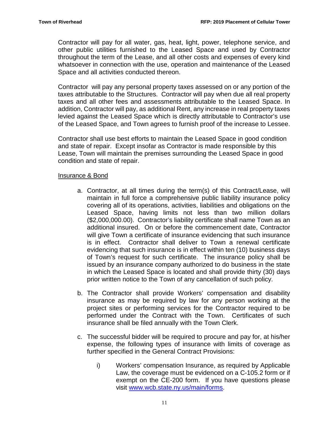Contractor will pay for all water, gas, heat, light, power, telephone service, and other public utilities furnished to the Leased Space and used by Contractor throughout the term of the Lease, and all other costs and expenses of every kind whatsoever in connection with the use, operation and maintenance of the Leased Space and all activities conducted thereon.

Contractor will pay any personal property taxes assessed on or any portion of the taxes attributable to the Structures. Contractor will pay when due all real property taxes and all other fees and assessments attributable to the Leased Space. In addition, Contractor will pay, as additional Rent, any increase in real property taxes levied against the Leased Space which is directly attributable to Contractor's use of the Leased Space, and Town agrees to furnish proof of the increase to Lessee.

Contractor shall use best efforts to maintain the Leased Space in good condition and state of repair. Except insofar as Contractor is made responsible by this Lease, Town will maintain the premises surrounding the Leased Space in good condition and state of repair.

#### Insurance & Bond

- a. Contractor, at all times during the term(s) of this Contract/Lease, will maintain in full force a comprehensive public liability insurance policy covering all of its operations, activities, liabilities and obligations on the Leased Space, having limits not less than two million dollars (\$2,000,000.00). Contractor's liability certificate shall name Town as an additional insured. On or before the commencement date, Contractor will give Town a certificate of insurance evidencing that such insurance is in effect. Contractor shall deliver to Town a renewal certificate evidencing that such insurance is in effect within ten (10) business days of Town's request for such certificate. The insurance policy shall be issued by an insurance company authorized to do business in the state in which the Leased Space is located and shall provide thirty (30) days prior written notice to the Town of any cancellation of such policy.
- b. The Contractor shall provide Workers' compensation and disability insurance as may be required by law for any person working at the project sites or performing services for the Contractor required to be performed under the Contract with the Town. Certificates of such insurance shall be filed annually with the Town Clerk.
- c. The successful bidder will be required to procure and pay for, at his/her expense, the following types of insurance with limits of coverage as further specified in the General Contract Provisions:
	- i) Workers' compensation Insurance, as required by Applicable Law, the coverage must be evidenced on a C-105.2 form or if exempt on the CE-200 form. If you have questions please visit [www.wcb.state.ny.us/main/forms.](http://www.wcb.state.ny.us/main/forms)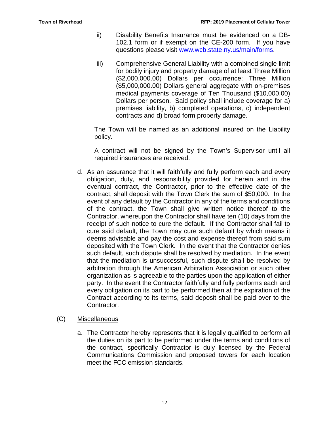- ii) Disability Benefits Insurance must be evidenced on a DB-102.1 form or if exempt on the CE-200 form. If you have questions please visit [www.wcb.state.ny.us/main/forms.](http://www.wcb.state.ny.us/main/forms)
- iii) Comprehensive General Liability with a combined single limit for bodily injury and property damage of at least Three Million (\$2,000,000.00) Dollars per occurrence; Three Million (\$5,000,000.00) Dollars general aggregate with on-premises medical payments coverage of Ten Thousand (\$10,000.00) Dollars per person. Said policy shall include coverage for a) premises liability, b) completed operations, c) independent contracts and d) broad form property damage.

The Town will be named as an additional insured on the Liability policy.

A contract will not be signed by the Town's Supervisor until all required insurances are received.

d. As an assurance that it will faithfully and fully perform each and every obligation, duty, and responsibility provided for herein and in the eventual contract, the Contractor, prior to the effective date of the contract, shall deposit with the Town Clerk the sum of \$50,000. In the event of any default by the Contractor in any of the terms and conditions of the contract, the Town shall give written notice thereof to the Contractor, whereupon the Contractor shall have ten (10) days from the receipt of such notice to cure the default. If the Contractor shall fail to cure said default, the Town may cure such default by which means it deems advisable and pay the cost and expense thereof from said sum deposited with the Town Clerk. In the event that the Contractor denies such default, such dispute shall be resolved by mediation. In the event that the mediation is unsuccessful, such dispute shall be resolved by arbitration through the American Arbitration Association or such other organization as is agreeable to the parties upon the application of either party. In the event the Contractor faithfully and fully performs each and every obligation on its part to be performed then at the expiration of the Contract according to its terms, said deposit shall be paid over to the Contractor.

#### (C) Miscellaneous

a. The Contractor hereby represents that it is legally qualified to perform all the duties on its part to be performed under the terms and conditions of the contract, specifically Contractor is duly licensed by the Federal Communications Commission and proposed towers for each location meet the FCC emission standards.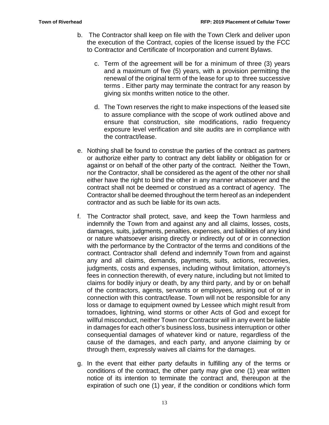- b. The Contractor shall keep on file with the Town Clerk and deliver upon the execution of the Contract, copies of the license issued by the FCC to Contractor and Certificate of Incorporation and current Bylaws.
	- c. Term of the agreement will be for a minimum of three (3) years and a maximum of five (5) years, with a provision permitting the renewal of the original term of the lease for up to three successive terms . Either party may terminate the contract for any reason by giving six months written notice to the other.
	- d. The Town reserves the right to make inspections of the leased site to assure compliance with the scope of work outlined above and ensure that construction, site modifications, radio frequency exposure level verification and site audits are in compliance with the contract/lease.
- e. Nothing shall be found to construe the parties of the contract as partners or authorize either party to contract any debt liability or obligation for or against or on behalf of the other party of the contract. Neither the Town, nor the Contractor, shall be considered as the agent of the other nor shall either have the right to bind the other in any manner whatsoever and the contract shall not be deemed or construed as a contract of agency. The Contractor shall be deemed throughout the term hereof as an independent contractor and as such be liable for its own acts.
- f. The Contractor shall protect, save, and keep the Town harmless and indemnify the Town from and against any and all claims, losses, costs, damages, suits, judgments, penalties, expenses, and liabilities of any kind or nature whatsoever arising directly or indirectly out of or in connection with the performance by the Contractor of the terms and conditions of the contract. Contractor shall defend and indemnify Town from and against any and all claims, demands, payments, suits, actions, recoveries, judgments, costs and expenses, including without limitation, attorney's fees in connection therewith, of every nature, including but not limited to claims for bodily injury or death, by any third party, and by or on behalf of the contractors, agents, servants or employees, arising out of or in connection with this contract/lease. Town will not be responsible for any loss or damage to equipment owned by Lessee which might result from tornadoes, lightning, wind storms or other Acts of God and except for willful misconduct, neither Town nor Contractor will in any event be liable in damages for each other's business loss, business interruption or other consequential damages of whatever kind or nature, regardless of the cause of the damages, and each party, and anyone claiming by or through them, expressly waives all claims for the damages.
- g. In the event that either party defaults in fulfilling any of the terms or conditions of the contract, the other party may give one (1) year written notice of its intention to terminate the contract and, thereupon at the expiration of such one (1) year, if the condition or conditions which form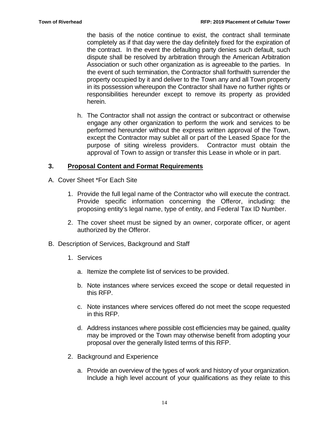the basis of the notice continue to exist, the contract shall terminate completely as if that day were the day definitely fixed for the expiration of the contract. In the event the defaulting party denies such default, such dispute shall be resolved by arbitration through the American Arbitration Association or such other organization as is agreeable to the parties. In the event of such termination, the Contractor shall forthwith surrender the property occupied by it and deliver to the Town any and all Town property in its possession whereupon the Contractor shall have no further rights or responsibilities hereunder except to remove its property as provided herein.

h. The Contractor shall not assign the contract or subcontract or otherwise engage any other organization to perform the work and services to be performed hereunder without the express written approval of the Town, except the Contractor may sublet all or part of the Leased Space for the purpose of siting wireless providers. Contractor must obtain the approval of Town to assign or transfer this Lease in whole or in part.

### **3. Proposal Content and Format Requirements**

- A. Cover Sheet \*For Each Site
	- 1. Provide the full legal name of the Contractor who will execute the contract. Provide specific information concerning the Offeror, including: the proposing entity's legal name, type of entity, and Federal Tax ID Number.
	- 2. The cover sheet must be signed by an owner, corporate officer, or agent authorized by the Offeror.
- B. Description of Services, Background and Staff
	- 1. Services
		- a. Itemize the complete list of services to be provided.
		- b. Note instances where services exceed the scope or detail requested in this RFP.
		- c. Note instances where services offered do not meet the scope requested in this RFP.
		- d. Address instances where possible cost efficiencies may be gained, quality may be improved or the Town may otherwise benefit from adopting your proposal over the generally listed terms of this RFP.
	- 2. Background and Experience
		- a. Provide an overview of the types of work and history of your organization. Include a high level account of your qualifications as they relate to this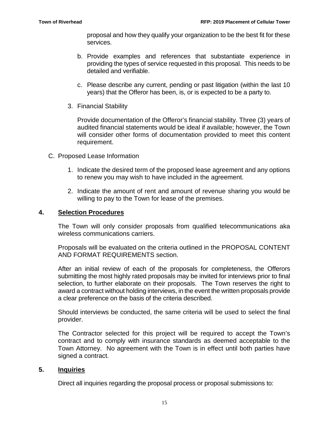proposal and how they qualify your organization to be the best fit for these services.

- b. Provide examples and references that substantiate experience in providing the types of service requested in this proposal. This needs to be detailed and verifiable.
- c. Please describe any current, pending or past litigation (within the last 10 years) that the Offeror has been, is, or is expected to be a party to.
- 3. Financial Stability

Provide documentation of the Offeror's financial stability. Three (3) years of audited financial statements would be ideal if available; however, the Town will consider other forms of documentation provided to meet this content requirement.

- C. Proposed Lease Information
	- 1. Indicate the desired term of the proposed lease agreement and any options to renew you may wish to have included in the agreement.
	- 2. Indicate the amount of rent and amount of revenue sharing you would be willing to pay to the Town for lease of the premises.

#### **4. Selection Procedures**

The Town will only consider proposals from qualified telecommunications aka wireless communications carriers.

Proposals will be evaluated on the criteria outlined in the PROPOSAL CONTENT AND FORMAT REQUIREMENTS section.

After an initial review of each of the proposals for completeness, the Offerors submitting the most highly rated proposals may be invited for interviews prior to final selection, to further elaborate on their proposals. The Town reserves the right to award a contract without holding interviews, in the event the written proposals provide a clear preference on the basis of the criteria described.

Should interviews be conducted, the same criteria will be used to select the final provider.

The Contractor selected for this project will be required to accept the Town's contract and to comply with insurance standards as deemed acceptable to the Town Attorney. No agreement with the Town is in effect until both parties have signed a contract.

#### **5. Inquiries**

Direct all inquiries regarding the proposal process or proposal submissions to: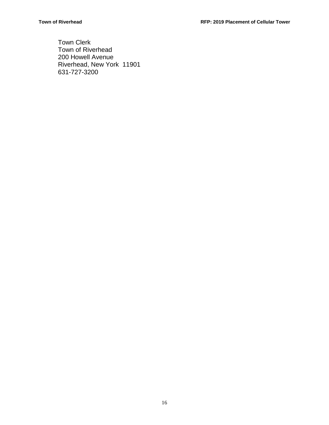Town Clerk Town of Riverhead 200 Howell Avenue Riverhead, New York 11901 631-727-3200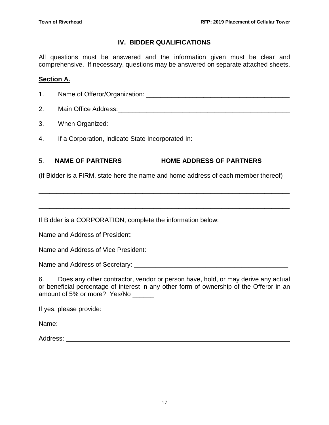# **IV. BIDDER QUALIFICATIONS**

All questions must be answered and the information given must be clear and comprehensive. If necessary, questions may be answered on separate attached sheets.

# **Section A.**

1. Name of Offeror/Organization: \_\_\_\_\_\_\_\_\_\_\_\_\_\_\_\_\_\_\_\_\_\_\_\_\_\_\_\_\_\_\_\_\_\_\_\_\_\_\_\_

- 2. Main Office Address:\_\_\_\_\_\_\_\_\_\_\_\_\_\_\_\_\_\_\_\_\_\_\_\_\_\_\_\_\_\_\_\_\_\_\_\_\_\_\_\_\_\_\_\_\_\_\_\_
- 3. When Organized: \_\_\_\_\_\_\_\_\_\_\_\_\_\_\_\_\_\_\_\_\_\_\_\_\_\_\_\_\_\_\_\_\_\_\_\_\_\_\_\_\_\_\_\_\_\_\_\_\_\_
- 4. If a Corporation, Indicate State Incorporated In:

# 5. **NAME OF PARTNERS HOME ADDRESS OF PARTNERS**

(If Bidder is a FIRM, state here the name and home address of each member thereof)

\_\_\_\_\_\_\_\_\_\_\_\_\_\_\_\_\_\_\_\_\_\_\_\_\_\_\_\_\_\_\_\_\_\_\_\_\_\_\_\_\_\_\_\_\_\_\_\_\_\_\_\_\_\_\_\_\_\_\_\_\_\_\_\_\_\_\_\_\_\_

\_\_\_\_\_\_\_\_\_\_\_\_\_\_\_\_\_\_\_\_\_\_\_\_\_\_\_\_\_\_\_\_\_\_\_\_\_\_\_\_\_\_\_\_\_\_\_\_\_\_\_\_\_\_\_\_\_\_\_\_\_\_\_\_\_\_\_\_\_\_

If Bidder is a CORPORATION, complete the information below:

Name and Address of President: \_\_\_\_\_\_\_\_\_\_\_\_\_\_\_\_\_\_\_\_\_\_\_\_\_\_\_\_\_\_\_\_\_\_\_\_\_\_\_\_\_\_\_

Name and Address of Vice President: \_\_\_\_\_\_\_\_\_\_\_\_\_\_\_\_\_\_\_\_\_\_\_\_\_\_\_\_\_\_\_\_\_\_\_\_\_\_\_

Name and Address of Secretary: \_\_\_\_\_\_\_\_\_\_\_\_\_\_\_\_\_\_\_\_\_\_\_\_\_\_\_\_\_\_\_\_\_\_\_\_\_\_\_\_\_\_\_

6. Does any other contractor, vendor or person have, hold, or may derive any actual or beneficial percentage of interest in any other form of ownership of the Offeror in an amount of 5% or more? Yes/No

If yes, please provide:

Name: 2008. 2008. 2008. 2008. 2008. 2008. 2008. 2009. 2008. 2009. 2009. 2009. 2009. 2009. 2009. 2009. 2009. 20

Address: \_\_\_\_\_\_\_\_\_\_\_\_\_\_\_\_\_\_\_\_\_\_\_\_\_\_\_\_\_\_\_\_\_\_\_\_\_\_\_\_\_\_\_\_\_\_\_\_\_\_\_\_\_\_\_\_\_\_\_\_\_\_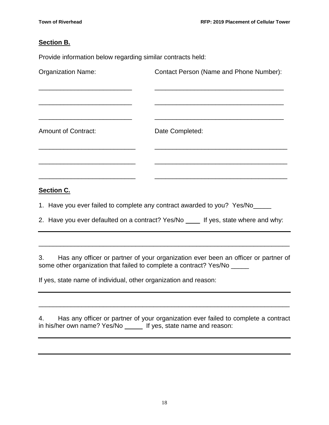#### **Section B.**

Provide information below regarding similar contracts held:

| <b>Organization Name:</b>  | Contact Person (Name and Phone Number): |
|----------------------------|-----------------------------------------|
|                            |                                         |
| <b>Amount of Contract:</b> | Date Completed:                         |
|                            |                                         |
|                            |                                         |

### **Section C.**

1. Have you ever failed to complete any contract awarded to you? Yes/No\_\_\_\_\_

2. Have you ever defaulted on a contract? Yes/No \_\_\_\_\_ If yes, state where and why:

3. Has any officer or partner of your organization ever been an officer or partner of some other organization that failed to complete a contract? Yes/No \_\_\_\_\_

\_\_\_\_\_\_\_\_\_\_\_\_\_\_\_\_\_\_\_\_\_\_\_\_\_\_\_\_\_\_\_\_\_\_\_\_\_\_\_\_\_\_\_\_\_\_\_\_\_\_\_\_\_\_\_\_\_\_\_\_\_\_\_\_\_\_\_\_\_\_

If yes, state name of individual, other organization and reason:

4. Has any officer or partner of your organization ever failed to complete a contract in his/her own name? Yes/No \_\_\_\_\_ If yes, state name and reason:

\_\_\_\_\_\_\_\_\_\_\_\_\_\_\_\_\_\_\_\_\_\_\_\_\_\_\_\_\_\_\_\_\_\_\_\_\_\_\_\_\_\_\_\_\_\_\_\_\_\_\_\_\_\_\_\_\_\_\_\_\_\_\_\_\_\_\_\_\_\_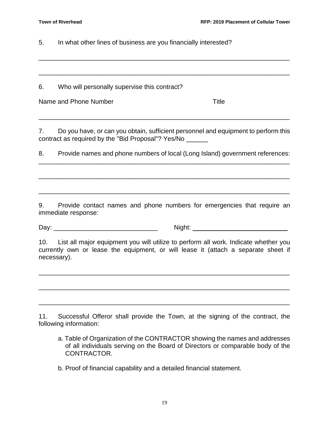5. In what other lines of business are you financially interested?

6. Who will personally supervise this contract?

| Name and Phone Number | Title |
|-----------------------|-------|
|                       |       |

7. Do you have, or can you obtain, sufficient personnel and equipment to perform this contract as required by the "Bid Proposal"? Yes/No \_\_\_\_\_\_

\_\_\_\_\_\_\_\_\_\_\_\_\_\_\_\_\_\_\_\_\_\_\_\_\_\_\_\_\_\_\_\_\_\_\_\_\_\_\_\_\_\_\_\_\_\_\_\_\_\_\_\_\_\_\_\_\_\_\_\_\_\_\_\_\_\_\_\_\_\_

\_\_\_\_\_\_\_\_\_\_\_\_\_\_\_\_\_\_\_\_\_\_\_\_\_\_\_\_\_\_\_\_\_\_\_\_\_\_\_\_\_\_\_\_\_\_\_\_\_\_\_\_\_\_\_\_\_\_\_\_\_\_\_\_\_\_\_\_\_\_

\_\_\_\_\_\_\_\_\_\_\_\_\_\_\_\_\_\_\_\_\_\_\_\_\_\_\_\_\_\_\_\_\_\_\_\_\_\_\_\_\_\_\_\_\_\_\_\_\_\_\_\_\_\_\_\_\_\_\_\_\_\_\_\_\_\_\_\_\_\_

8. Provide names and phone numbers of local (Long Island) government references: \_\_\_\_\_\_\_\_\_\_\_\_\_\_\_\_\_\_\_\_\_\_\_\_\_\_\_\_\_\_\_\_\_\_\_\_\_\_\_\_\_\_\_\_\_\_\_\_\_\_\_\_\_\_\_\_\_\_\_\_\_\_\_\_\_\_\_\_\_\_

\_\_\_\_\_\_\_\_\_\_\_\_\_\_\_\_\_\_\_\_\_\_\_\_\_\_\_\_\_\_\_\_\_\_\_\_\_\_\_\_\_\_\_\_\_\_\_\_\_\_\_\_\_\_\_\_\_\_\_\_\_\_\_\_\_\_\_\_\_\_

\_\_\_\_\_\_\_\_\_\_\_\_\_\_\_\_\_\_\_\_\_\_\_\_\_\_\_\_\_\_\_\_\_\_\_\_\_\_\_\_\_\_\_\_\_\_\_\_\_\_\_\_\_\_\_\_\_\_\_\_\_\_\_\_\_\_\_\_\_\_

9. Provide contact names and phone numbers for emergencies that require an immediate response:

Day: \_\_\_\_\_\_\_\_\_\_\_\_\_\_\_\_\_\_\_\_\_\_\_\_\_\_\_\_\_ Night: \_\_\_\_\_\_\_\_\_\_\_\_\_\_\_\_\_\_\_\_\_\_\_\_\_\_

10. List all major equipment you will utilize to perform all work. Indicate whether you currently own or lease the equipment, or will lease it (attach a separate sheet if necessary).

\_\_\_\_\_\_\_\_\_\_\_\_\_\_\_\_\_\_\_\_\_\_\_\_\_\_\_\_\_\_\_\_\_\_\_\_\_\_\_\_\_\_\_\_\_\_\_\_\_\_\_\_\_\_\_\_\_\_\_\_\_\_\_\_\_\_\_\_\_\_

\_\_\_\_\_\_\_\_\_\_\_\_\_\_\_\_\_\_\_\_\_\_\_\_\_\_\_\_\_\_\_\_\_\_\_\_\_\_\_\_\_\_\_\_\_\_\_\_\_\_\_\_\_\_\_\_\_\_\_\_\_\_\_\_\_\_\_\_\_\_

\_\_\_\_\_\_\_\_\_\_\_\_\_\_\_\_\_\_\_\_\_\_\_\_\_\_\_\_\_\_\_\_\_\_\_\_\_\_\_\_\_\_\_\_\_\_\_\_\_\_\_\_\_\_\_\_\_\_\_\_\_\_\_\_\_\_\_\_\_\_

11. Successful Offeror shall provide the Town, at the signing of the contract, the following information:

- a. Table of Organization of the CONTRACTOR showing the names and addresses of all individuals serving on the Board of Directors or comparable body of the CONTRACTOR.
- b. Proof of financial capability and a detailed financial statement.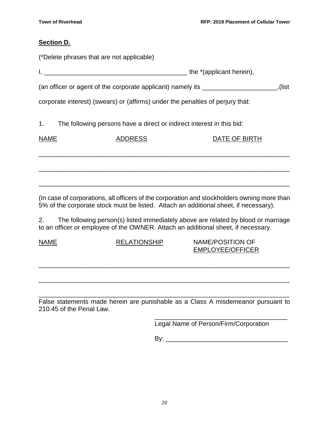#### **Section D.**

|                                                                                  | (*Delete phrases that are not applicable)                                      |               |  |  |  |
|----------------------------------------------------------------------------------|--------------------------------------------------------------------------------|---------------|--|--|--|
|                                                                                  |                                                                                |               |  |  |  |
| (an officer or agent of the corporate applicant) namely its ____________________ |                                                                                |               |  |  |  |
|                                                                                  | corporate interest) (swears) or (affirms) under the penalties of perjury that: |               |  |  |  |
|                                                                                  | 1. The following persons have a direct or indirect interest in this bid:       |               |  |  |  |
| NAME                                                                             | <b>ADDRESS</b>                                                                 | DATE OF BIRTH |  |  |  |
|                                                                                  |                                                                                |               |  |  |  |
|                                                                                  |                                                                                |               |  |  |  |
|                                                                                  |                                                                                |               |  |  |  |

(In case of corporations, all officers of the corporation and stockholders owning more than 5% of the corporate stock must be listed. Attach an additional sheet, if necessary).

2. The following person(s) listed immediately above are related by blood or marriage to an officer or employee of the OWNER. Attach an additional sheet, if necessary.

NAME RELATIONSHIP NAME/POSITION OF EMPLOYEE/OFFICER

\_\_\_\_\_\_\_\_\_\_\_\_\_\_\_\_\_\_\_\_\_\_\_\_\_\_\_\_\_\_\_\_\_\_\_\_\_\_\_\_\_\_\_\_\_\_\_\_\_\_\_\_\_\_\_\_\_\_\_\_\_\_\_\_\_\_\_\_\_\_ False statements made herein are punishable as a Class A misdemeanor pursuant to 210.45 of the Penal Law.

\_\_\_\_\_\_\_\_\_\_\_\_\_\_\_\_\_\_\_\_\_\_\_\_\_\_\_\_\_\_\_\_\_\_\_\_\_\_\_\_\_\_\_\_\_\_\_\_\_\_\_\_\_\_\_\_\_\_\_\_\_\_\_\_\_\_\_\_\_\_

\_\_\_\_\_\_\_\_\_\_\_\_\_\_\_\_\_\_\_\_\_\_\_\_\_\_\_\_\_\_\_\_\_\_\_\_\_\_\_\_\_\_\_\_\_\_\_\_\_\_\_\_\_\_\_\_\_\_\_\_\_\_\_\_\_\_\_\_\_\_

\_\_\_\_\_\_\_\_\_\_\_\_\_\_\_\_\_\_\_\_\_\_\_\_\_\_\_\_\_\_\_\_\_\_\_\_\_ Legal Name of Person/Firm/Corporation

By: \_\_\_\_\_\_\_\_\_\_\_\_\_\_\_\_\_\_\_\_\_\_\_\_\_\_\_\_\_\_\_\_\_\_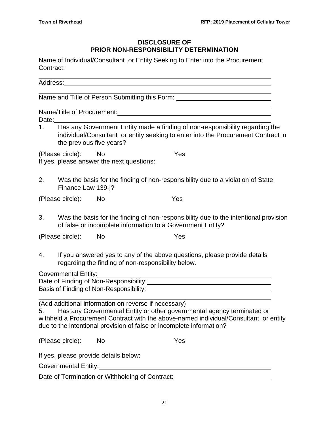# **DISCLOSURE OF PRIOR NON-RESPONSIBILITY DETERMINATION**

Name of Individual/Consultant or Entity Seeking to Enter into the Procurement Contract:

|       |                                                               |                          | Name and Title of Person Submitting this Form: _________________________________                                                                                                                                                                                                               |  |
|-------|---------------------------------------------------------------|--------------------------|------------------------------------------------------------------------------------------------------------------------------------------------------------------------------------------------------------------------------------------------------------------------------------------------|--|
| Date: |                                                               |                          | <u> 1989 - Andrea Branden, amerikan basar basa dan berasal dalam basa dalam basa dalam basa dalam basa dalam basa</u>                                                                                                                                                                          |  |
| 1.    |                                                               | the previous five years? | Has any Government Entity made a finding of non-responsibility regarding the<br>individual/Consultant or entity seeking to enter into the Procurement Contract in                                                                                                                              |  |
|       | (Please circle):<br>If yes, please answer the next questions: | i No                     | Yes                                                                                                                                                                                                                                                                                            |  |
| 2.    | Finance Law 139-j?                                            |                          | Was the basis for the finding of non-responsibility due to a violation of State                                                                                                                                                                                                                |  |
|       | (Please circle):                                              | No                       | Yes                                                                                                                                                                                                                                                                                            |  |
| 3.    |                                                               |                          | Was the basis for the finding of non-responsibility due to the intentional provision<br>of false or incomplete information to a Government Entity?                                                                                                                                             |  |
|       | (Please circle):                                              | No                       | Yes                                                                                                                                                                                                                                                                                            |  |
| 4.    |                                                               |                          | If you answered yes to any of the above questions, please provide details<br>regarding the finding of non-responsibility below.                                                                                                                                                                |  |
|       | Governmental Entity:                                          |                          | Date of Finding of Non-Responsibility:<br><u>Date of Finding of Non-Responsibility:</u>                                                                                                                                                                                                        |  |
| 5.    |                                                               |                          | (Add additional information on reverse if necessary)<br>Has any Governmental Entity or other governmental agency terminated or<br>withheld a Procurement Contract with the above-named individual/Consultant or entity<br>due to the intentional provision of false or incomplete information? |  |
|       | (Please circle):                                              | No                       | Yes                                                                                                                                                                                                                                                                                            |  |
|       | If yes, please provide details below:                         |                          |                                                                                                                                                                                                                                                                                                |  |
|       |                                                               |                          |                                                                                                                                                                                                                                                                                                |  |
|       |                                                               |                          | Date of Termination or Withholding of Contract:<br><u>Date of Termination or Withholding of Contract:</u>                                                                                                                                                                                      |  |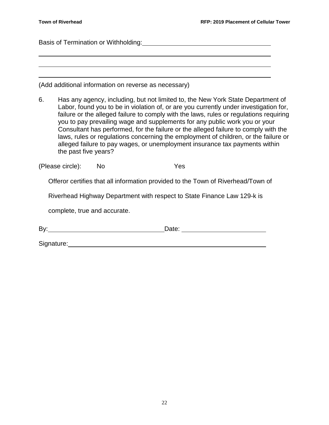Basis of Termination or Withholding:

(Add additional information on reverse as necessary)

6. Has any agency, including, but not limited to, the New York State Department of Labor, found you to be in violation of, or are you currently under investigation for, failure or the alleged failure to comply with the laws, rules or regulations requiring you to pay prevailing wage and supplements for any public work you or your Consultant has performed, for the failure or the alleged failure to comply with the laws, rules or regulations concerning the employment of children, or the failure or alleged failure to pay wages, or unemployment insurance tax payments within the past five years?

(Please circle): No Yes

Offeror certifies that all information provided to the Town of Riverhead/Town of

Riverhead Highway Department with respect to State Finance Law 129-k is

complete, true and accurate.

By: Date: Date: Date: 2004

Signature: experience and the state of the state of the state of the state of the state of the state of the state of the state of the state of the state of the state of the state of the state of the state of the state of t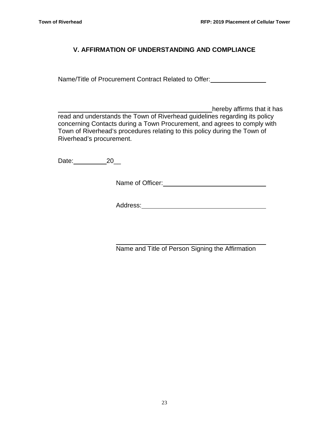# **V. AFFIRMATION OF UNDERSTANDING AND COMPLIANCE**

Name/Title of Procurement Contract Related to Offer:

\_\_\_\_\_\_\_\_\_\_\_\_\_\_\_\_\_\_\_\_\_\_\_\_\_\_\_\_\_\_\_\_\_\_\_\_\_\_\_\_\_\_\_hereby affirms that it has read and understands the Town of Riverhead guidelines regarding its policy concerning Contacts during a Town Procurement, and agrees to comply with Town of Riverhead's procedures relating to this policy during the Town of Riverhead's procurement.

Date: 20\_

Name of Officer:

Address:

Name and Title of Person Signing the Affirmation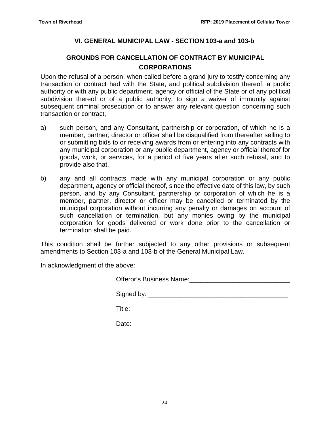# **VI. GENERAL MUNICIPAL LAW - SECTION 103-a and 103-b**

# **GROUNDS FOR CANCELLATION OF CONTRACT BY MUNICIPAL CORPORATIONS**

Upon the refusal of a person, when called before a grand jury to testify concerning any transaction or contract had with the State, and political subdivision thereof, a public authority or with any public department, agency or official of the State or of any political subdivision thereof or of a public authority, to sign a waiver of immunity against subsequent criminal prosecution or to answer any relevant question concerning such transaction or contract,

- a) such person, and any Consultant, partnership or corporation, of which he is a member, partner, director or officer shall be disqualified from thereafter selling to or submitting bids to or receiving awards from or entering into any contracts with any municipal corporation or any public department, agency or official thereof for goods, work, or services, for a period of five years after such refusal, and to provide also that,
- b) any and all contracts made with any municipal corporation or any public department, agency or official thereof, since the effective date of this law, by such person, and by any Consultant, partnership or corporation of which he is a member, partner, director or officer may be cancelled or terminated by the municipal corporation without incurring any penalty or damages on account of such cancellation or termination, but any monies owing by the municipal corporation for goods delivered or work done prior to the cancellation or termination shall be paid.

This condition shall be further subjected to any other provisions or subsequent amendments to Section 103-a and 103-b of the General Municipal Law.

In acknowledgment of the above:

Signed by:

Title: \_\_\_\_\_\_\_\_\_\_\_\_\_\_\_\_\_\_\_\_\_\_\_\_\_\_\_\_\_\_\_\_\_\_\_\_\_\_\_\_\_\_\_\_

Date:\_\_\_\_\_\_\_\_\_\_\_\_\_\_\_\_\_\_\_\_\_\_\_\_\_\_\_\_\_\_\_\_\_\_\_\_\_\_\_\_\_\_\_\_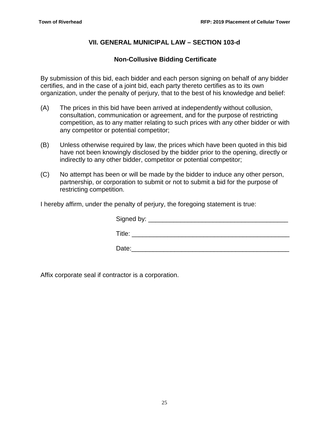# **VII. GENERAL MUNICIPAL LAW – SECTION 103-d**

### **Non-Collusive Bidding Certificate**

By submission of this bid, each bidder and each person signing on behalf of any bidder certifies, and in the case of a joint bid, each party thereto certifies as to its own organization, under the penalty of perjury, that to the best of his knowledge and belief:

- (A) The prices in this bid have been arrived at independently without collusion, consultation, communication or agreement, and for the purpose of restricting competition, as to any matter relating to such prices with any other bidder or with any competitor or potential competitor;
- (B) Unless otherwise required by law, the prices which have been quoted in this bid have not been knowingly disclosed by the bidder prior to the opening, directly or indirectly to any other bidder, competitor or potential competitor;
- (C) No attempt has been or will be made by the bidder to induce any other person, partnership, or corporation to submit or not to submit a bid for the purpose of restricting competition.

I hereby affirm, under the penalty of perjury, the foregoing statement is true:

| Signed by: __ |  |
|---------------|--|
| Title:        |  |
| Date:         |  |

Affix corporate seal if contractor is a corporation.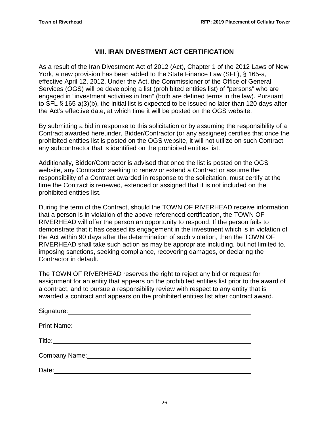## **VIII. IRAN DIVESTMENT ACT CERTIFICATION**

As a result of the Iran Divestment Act of 2012 (Act), Chapter 1 of the 2012 Laws of New York, a new provision has been added to the State Finance Law (SFL), § 165-a, effective April 12, 2012. Under the Act, the Commissioner of the Office of General Services (OGS) will be developing a list (prohibited entities list) of "persons" who are engaged in "investment activities in Iran" (both are defined terms in the law). Pursuant to SFL § 165-a(3)(b), the initial list is expected to be issued no later than 120 days after the Act's effective date, at which time it will be posted on the OGS website.

By submitting a bid in response to this solicitation or by assuming the responsibility of a Contract awarded hereunder, Bidder/Contractor (or any assignee) certifies that once the prohibited entities list is posted on the OGS website, it will not utilize on such Contract any subcontractor that is identified on the prohibited entities list.

Additionally, Bidder/Contractor is advised that once the list is posted on the OGS website, any Contractor seeking to renew or extend a Contract or assume the responsibility of a Contract awarded in response to the solicitation, must certify at the time the Contract is renewed, extended or assigned that it is not included on the prohibited entities list.

During the term of the Contract, should the TOWN OF RIVERHEAD receive information that a person is in violation of the above-referenced certification, the TOWN OF RIVERHEAD will offer the person an opportunity to respond. If the person fails to demonstrate that it has ceased its engagement in the investment which is in violation of the Act within 90 days after the determination of such violation, then the TOWN OF RIVERHEAD shall take such action as may be appropriate including, but not limited to, imposing sanctions, seeking compliance, recovering damages, or declaring the Contractor in default.

The TOWN OF RIVERHEAD reserves the right to reject any bid or request for assignment for an entity that appears on the prohibited entities list prior to the award of a contract, and to pursue a responsibility review with respect to any entity that is awarded a contract and appears on the prohibited entities list after contract award.

| Signature:         |  |
|--------------------|--|
| <b>Print Name:</b> |  |
| Title:             |  |
| Company Name:      |  |

Date: 2008. 2009. 2009. 2009. 2009. 2009. 2009. 2009. 2009. 2009. 2009. 2009. 2009. 2009. 2009. 2009. 2009. 20